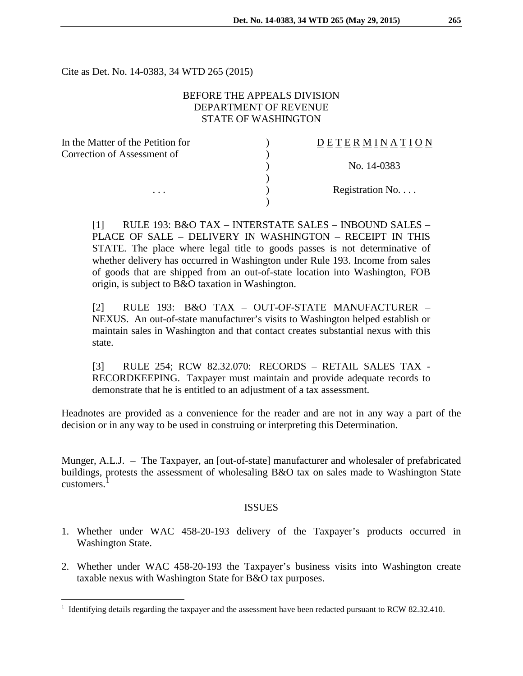Cite as Det. No. 14-0383, 34 WTD 265 (2015)

# BEFORE THE APPEALS DIVISION DEPARTMENT OF REVENUE STATE OF WASHINGTON

| In the Matter of the Petition for | DETERMINATION   |
|-----------------------------------|-----------------|
| Correction of Assessment of       |                 |
|                                   | No. 14-0383     |
|                                   |                 |
| $\cdots$                          | Registration No |
|                                   |                 |

[1] RULE 193: B&O TAX – INTERSTATE SALES – INBOUND SALES – PLACE OF SALE – DELIVERY IN WASHINGTON – RECEIPT IN THIS STATE. The place where legal title to goods passes is not determinative of whether delivery has occurred in Washington under Rule 193. Income from sales of goods that are shipped from an out-of-state location into Washington, FOB origin, is subject to B&O taxation in Washington.

[2] RULE 193: B&O TAX – OUT-OF-STATE MANUFACTURER – NEXUS. An out-of-state manufacturer's visits to Washington helped establish or maintain sales in Washington and that contact creates substantial nexus with this state.

[3] RULE 254; RCW 82.32.070: RECORDS – RETAIL SALES TAX - RECORDKEEPING. Taxpayer must maintain and provide adequate records to demonstrate that he is entitled to an adjustment of a tax assessment.

Headnotes are provided as a convenience for the reader and are not in any way a part of the decision or in any way to be used in construing or interpreting this Determination.

Munger, A.L.J. – The Taxpayer, an [out-of-state] manufacturer and wholesaler of prefabricated buildings, protests the assessment of wholesaling B&O tax on sales made to Washington State customers.

#### ISSUES

- 1. Whether under WAC 458-20-193 delivery of the Taxpayer's products occurred in Washington State.
- 2. Whether under WAC 458-20-193 the Taxpayer's business visits into Washington create taxable nexus with Washington State for B&O tax purposes.

<span id="page-0-0"></span><sup>&</sup>lt;sup>1</sup> Identifying details regarding the taxpayer and the assessment have been redacted pursuant to RCW 82.32.410.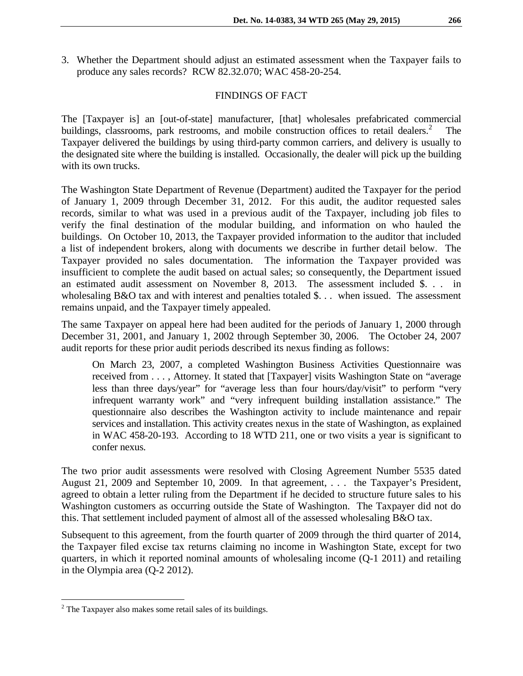3. Whether the Department should adjust an estimated assessment when the Taxpayer fails to produce any sales records? RCW 82.32.070; WAC 458-20-254.

# FINDINGS OF FACT

The [Taxpayer is] an [out-of-state] manufacturer, [that] wholesales prefabricated commercial buildings, classrooms, park restrooms, and mobile construction offices to retail dealers.<sup>[2](#page-1-0)</sup> The Taxpayer delivered the buildings by using third-party common carriers, and delivery is usually to the designated site where the building is installed. Occasionally, the dealer will pick up the building with its own trucks.

The Washington State Department of Revenue (Department) audited the Taxpayer for the period of January 1, 2009 through December 31, 2012. For this audit, the auditor requested sales records, similar to what was used in a previous audit of the Taxpayer, including job files to verify the final destination of the modular building, and information on who hauled the buildings. On October 10, 2013, the Taxpayer provided information to the auditor that included a list of independent brokers, along with documents we describe in further detail below. The Taxpayer provided no sales documentation. The information the Taxpayer provided was insufficient to complete the audit based on actual sales; so consequently, the Department issued an estimated audit assessment on November 8, 2013. The assessment included \$. . . in wholesaling B&O tax and with interest and penalties totaled \$... when issued. The assessment remains unpaid, and the Taxpayer timely appealed.

The same Taxpayer on appeal here had been audited for the periods of January 1, 2000 through December 31, 2001, and January 1, 2002 through September 30, 2006. The October 24, 2007 audit reports for these prior audit periods described its nexus finding as follows:

On March 23, 2007, a completed Washington Business Activities Questionnaire was received from . . . , Attorney. It stated that [Taxpayer] visits Washington State on "average less than three days/year" for "average less than four hours/day/visit" to perform "very infrequent warranty work" and "very infrequent building installation assistance." The questionnaire also describes the Washington activity to include maintenance and repair services and installation. This activity creates nexus in the state of Washington, as explained in WAC 458-20-193. According to 18 WTD 211, one or two visits a year is significant to confer nexus.

The two prior audit assessments were resolved with Closing Agreement Number 5535 dated August 21, 2009 and September 10, 2009. In that agreement, . . . the Taxpayer's President, agreed to obtain a letter ruling from the Department if he decided to structure future sales to his Washington customers as occurring outside the State of Washington. The Taxpayer did not do this. That settlement included payment of almost all of the assessed wholesaling B&O tax.

Subsequent to this agreement, from the fourth quarter of 2009 through the third quarter of 2014, the Taxpayer filed excise tax returns claiming no income in Washington State, except for two quarters, in which it reported nominal amounts of wholesaling income (Q-1 2011) and retailing in the Olympia area (Q-2 2012).

<span id="page-1-0"></span><sup>&</sup>lt;sup>2</sup> The Taxpayer also makes some retail sales of its buildings.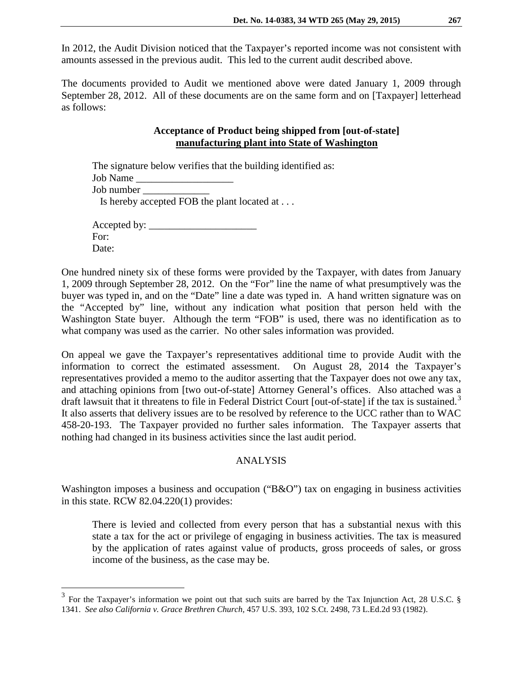In 2012, the Audit Division noticed that the Taxpayer's reported income was not consistent with amounts assessed in the previous audit. This led to the current audit described above.

The documents provided to Audit we mentioned above were dated January 1, 2009 through September 28, 2012. All of these documents are on the same form and on [Taxpayer] letterhead as follows:

# **Acceptance of Product being shipped from [out-of-state] manufacturing plant into State of Washington**

| The signature below verifies that the building identified as: |
|---------------------------------------------------------------|
|                                                               |
|                                                               |
| Is hereby accepted FOB the plant located at                   |
| For:                                                          |

Date:

One hundred ninety six of these forms were provided by the Taxpayer, with dates from January 1, 2009 through September 28, 2012. On the "For" line the name of what presumptively was the buyer was typed in, and on the "Date" line a date was typed in. A hand written signature was on the "Accepted by" line, without any indication what position that person held with the Washington State buyer. Although the term "FOB" is used, there was no identification as to what company was used as the carrier. No other sales information was provided.

On appeal we gave the Taxpayer's representatives additional time to provide Audit with the information to correct the estimated assessment. On August 28, 2014 the Taxpayer's representatives provided a memo to the auditor asserting that the Taxpayer does not owe any tax, and attaching opinions from [two out-of-state] Attorney General's offices. Also attached was a draft lawsuit that it threatens to file in Federal District Court [out-of-state] if the tax is sustained.<sup>[3](#page-2-0)</sup> It also asserts that delivery issues are to be resolved by reference to the UCC rather than to WAC 458-20-193. The Taxpayer provided no further sales information. The Taxpayer asserts that nothing had changed in its business activities since the last audit period.

### ANALYSIS

Washington imposes a business and occupation ("B&O") tax on engaging in business activities in this state. RCW 82.04.220(1) provides:

There is levied and collected from every person that has a substantial nexus with this state a tax for the act or privilege of engaging in business activities. The tax is measured by the application of rates against value of products, gross proceeds of sales, or gross income of the business, as the case may be.

<span id="page-2-0"></span><sup>&</sup>lt;sup>3</sup> For the Taxpayer's information we point out that such suits are barred by the Tax Injunction Act, 28 U.S.C. § 1341. *See also California v. Grace Brethren Church,* 457 U.S. 393, 102 S.Ct. 2498, 73 L.Ed.2d 93 (1982).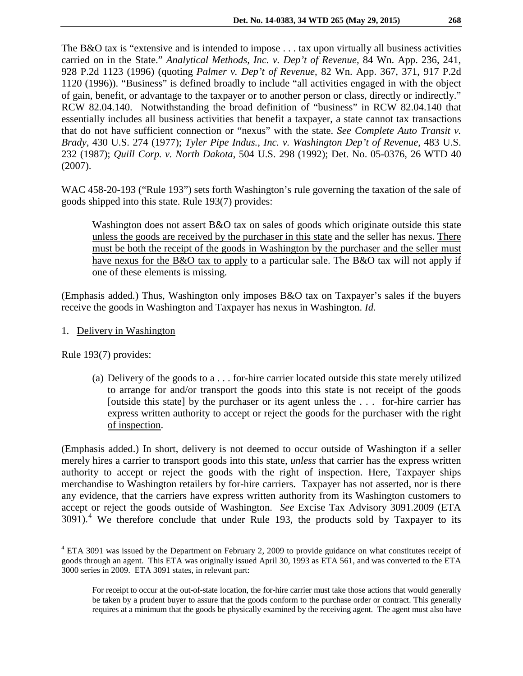The B&O tax is "extensive and is intended to impose . . . tax upon virtually all business activities carried on in the State." *Analytical Methods, Inc. v. Dep't of Revenue*, 84 Wn. App. 236, 241, 928 P.2d 1123 (1996) (quoting *Palmer v. Dep't of Revenue*, 82 Wn. App. 367, 371, 917 P.2d 1120 (1996)). "Business" is defined broadly to include "all activities engaged in with the object of gain, benefit, or advantage to the taxpayer or to another person or class, directly or indirectly." RCW 82.04.140. Notwithstanding the broad definition of "business" in RCW 82.04.140 that essentially includes all business activities that benefit a taxpayer, a state cannot tax transactions that do not have sufficient connection or "nexus" with the state. *See Complete Auto Transit v. Brady*, 430 U.S. 274 (1977); *Tyler Pipe Indus., Inc. v. Washington Dep't of Revenue*, 483 U.S. 232 (1987); *Quill Corp. v. North Dakota*, 504 U.S. 298 (1992); Det. No. 05-0376, 26 WTD 40 (2007).

WAC 458-20-193 ("Rule 193") sets forth Washington's rule governing the taxation of the sale of goods shipped into this state. Rule 193(7) provides:

Washington does not assert B&O tax on sales of goods which originate outside this state unless the goods are received by the purchaser in this state and the seller has nexus. There must be both the receipt of the goods in Washington by the purchaser and the seller must have nexus for the B&O tax to apply to a particular sale. The B&O tax will not apply if one of these elements is missing.

(Emphasis added.) Thus, Washington only imposes B&O tax on Taxpayer's sales if the buyers receive the goods in Washington and Taxpayer has nexus in Washington. *Id.* 

1. Delivery in Washington

Rule 193(7) provides:

(a) Delivery of the goods to a . . . for-hire carrier located outside this state merely utilized to arrange for and/or transport the goods into this state is not receipt of the goods [outside this state] by the purchaser or its agent unless the . . . for-hire carrier has express written authority to accept or reject the goods for the purchaser with the right of inspection.

(Emphasis added.) In short, delivery is not deemed to occur outside of Washington if a seller merely hires a carrier to transport goods into this state, *unless* that carrier has the express written authority to accept or reject the goods with the right of inspection. Here, Taxpayer ships merchandise to Washington retailers by for-hire carriers. Taxpayer has not asserted, nor is there any evidence, that the carriers have express written authority from its Washington customers to accept or reject the goods outside of Washington. *See* Excise Tax Advisory 3091.2009 (ETA  $3091$ <sup>[4](#page-3-0)</sup>. We therefore conclude that under Rule 193, the products sold by Taxpayer to its

<span id="page-3-0"></span><sup>&</sup>lt;sup>4</sup> ETA 3091 was issued by the Department on February 2, 2009 to provide guidance on what constitutes receipt of goods through an agent. This ETA was originally issued April 30, 1993 as ETA 561, and was converted to the ETA 3000 series in 2009. ETA 3091 states, in relevant part:

For receipt to occur at the out-of-state location, the for-hire carrier must take those actions that would generally be taken by a prudent buyer to assure that the goods conform to the purchase order or contract. This generally requires at a minimum that the goods be physically examined by the receiving agent. The agent must also have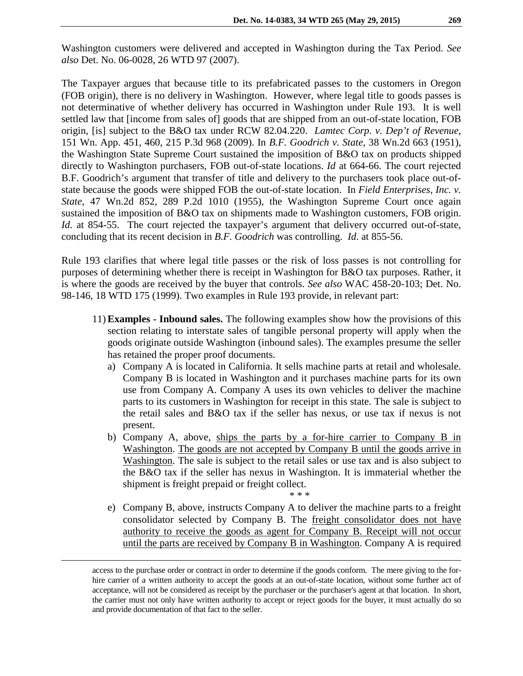Washington customers were delivered and accepted in Washington during the Tax Period. *See also* Det. No. 06-0028, 26 WTD 97 (2007).

The Taxpayer argues that because title to its prefabricated passes to the customers in Oregon (FOB origin), there is no delivery in Washington. However, where legal title to goods passes is not determinative of whether delivery has occurred in Washington under Rule 193. It is well settled law that [income from sales of] goods that are shipped from an out-of-state location, FOB origin, [is] subject to the B&O tax under RCW 82.04.220. *Lamtec Corp. v. Dep't of Revenue*, [151 Wn. App. 451, 460, 215 P.3d 968](http://www.westlaw.com/Find/Default.wl?rs=dfa1.0&vr=2.0&DB=4645&FindType=Y&SerialNum=2019530024) (2009). In *B.F. Goodrich v. State*, 38 Wn.2d 663 (1951), the Washington State Supreme Court sustained the imposition of B&O tax on products shipped directly to Washington purchasers, FOB out-of-state locations. *Id* at 664-66. The court rejected B.F. Goodrich's argument that transfer of title and delivery to the purchasers took place out-ofstate because the goods were shipped FOB the out-of-state location. In *Field Enterprises, Inc. v. State*, 47 Wn.2d 852, 289 P.2d 1010 (1955), the Washington Supreme Court once again sustained the imposition of B&O tax on shipments made to Washington customers, FOB origin. *Id*. at 854-55. The court rejected the taxpayer's argument that delivery occurred out-of-state, concluding that its recent decision in *B.F. Goodrich* was controlling. *Id*. at 855-56.

Rule 193 clarifies that where legal title passes or the risk of loss passes is not controlling for purposes of determining whether there is receipt in Washington for B&O tax purposes. Rather, it is where the goods are received by the buyer that controls. *See also* WAC 458-20-103; Det. No. 98-146, 18 WTD 175 (1999). Two examples in Rule 193 provide, in relevant part:

- 11) **Examples - Inbound sales.** The following examples show how the provisions of this section relating to interstate sales of tangible personal property will apply when the goods originate outside Washington (inbound sales). The examples presume the seller has retained the proper proof documents.
	- a) Company A is located in California. It sells machine parts at retail and wholesale. Company B is located in Washington and it purchases machine parts for its own use from Company A. Company A uses its own vehicles to deliver the machine parts to its customers in Washington for receipt in this state. The sale is subject to the retail sales and B&O tax if the seller has nexus, or use tax if nexus is not present.
	- b) Company A, above, ships the parts by a for-hire carrier to Company B in Washington. The goods are not accepted by Company B until the goods arrive in Washington. The sale is subject to the retail sales or use tax and is also subject to the B&O tax if the seller has nexus in Washington. It is immaterial whether the shipment is freight prepaid or freight collect.
	- e) Company B, above, instructs Company A to deliver the machine parts to a freight consolidator selected by Company B. The freight consolidator does not have authority to receive the goods as agent for Company B. Receipt will not occur until the parts are received by Company B in Washington. Company A is required

\* \* \*

access to the purchase order or contract in order to determine if the goods conform. The mere giving to the forhire carrier of a written authority to accept the goods at an out-of-state location, without some further act of acceptance, will not be considered as receipt by the purchaser or the purchaser's agent at that location. In short, the carrier must not only have written authority to accept or reject goods for the buyer, it must actually do so and provide documentation of that fact to the seller.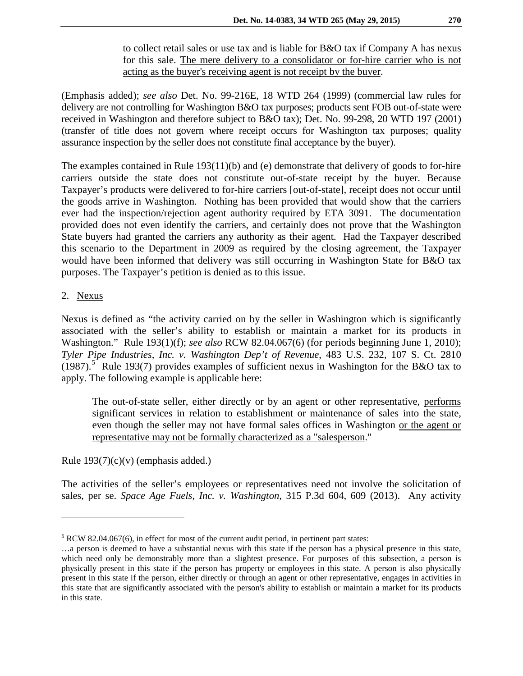to collect retail sales or use tax and is liable for B&O tax if Company A has nexus for this sale. The mere delivery to a consolidator or for-hire carrier who is not acting as the buyer's receiving agent is not receipt by the buyer.

(Emphasis added); *see also* Det. No. 99-216E, 18 WTD 264 (1999) (commercial law rules for delivery are not controlling for Washington B&O tax purposes; products sent FOB out-of-state were received in Washington and therefore subject to B&O tax); Det. No. 99-298, 20 WTD 197 (2001) (transfer of title does not govern where receipt occurs for Washington tax purposes; quality assurance inspection by the seller does not constitute final acceptance by the buyer).

The examples contained in Rule 193(11)(b) and (e) demonstrate that delivery of goods to for-hire carriers outside the state does not constitute out-of-state receipt by the buyer. Because Taxpayer's products were delivered to for-hire carriers [out-of-state], receipt does not occur until the goods arrive in Washington. Nothing has been provided that would show that the carriers ever had the inspection/rejection agent authority required by ETA 3091. The documentation provided does not even identify the carriers, and certainly does not prove that the Washington State buyers had granted the carriers any authority as their agent. Had the Taxpayer described this scenario to the Department in 2009 as required by the closing agreement, the Taxpayer would have been informed that delivery was still occurring in Washington State for B&O tax purposes. The Taxpayer's petition is denied as to this issue.

# 2. Nexus

 $\overline{a}$ 

Nexus is defined as "the activity carried on by the seller in Washington which is significantly associated with the seller's ability to establish or maintain a market for its products in Washington." Rule 193(1)(f); *see also* RCW 82.04.067(6) (for periods beginning June 1, 2010); *Tyler Pipe Industries, Inc. v. Washington Dep't of Revenue*, 483 U.S. 232, 107 S. Ct. 2810  $(1987)$ .<sup>[5](#page-5-0)</sup> Rule 193(7) provides examples of sufficient nexus in Washington for the B&O tax to apply. The following example is applicable here:

The out-of-state seller, either directly or by an agent or other representative, performs significant services in relation to establishment or maintenance of sales into the state, even though the seller may not have formal sales offices in Washington or the agent or representative may not be formally characterized as a "salesperson."

Rule  $193(7)(c)(v)$  (emphasis added.)

The activities of the seller's employees or representatives need not involve the solicitation of sales, per se. *Space Age Fuels, Inc. v. Washington*, 315 P.3d 604, 609 (2013). Any activity

<span id="page-5-0"></span> $5$  RCW 82.04.067(6), in effect for most of the current audit period, in pertinent part states:

<sup>…</sup>a person is deemed to have a substantial nexus with this state if the person has a physical presence in this state, which need only be demonstrably more than a slightest presence. For purposes of this subsection, a person is physically present in this state if the person has property or employees in this state. A person is also physically present in this state if the person, either directly or through an agent or other representative, engages in activities in this state that are significantly associated with the person's ability to establish or maintain a market for its products in this state.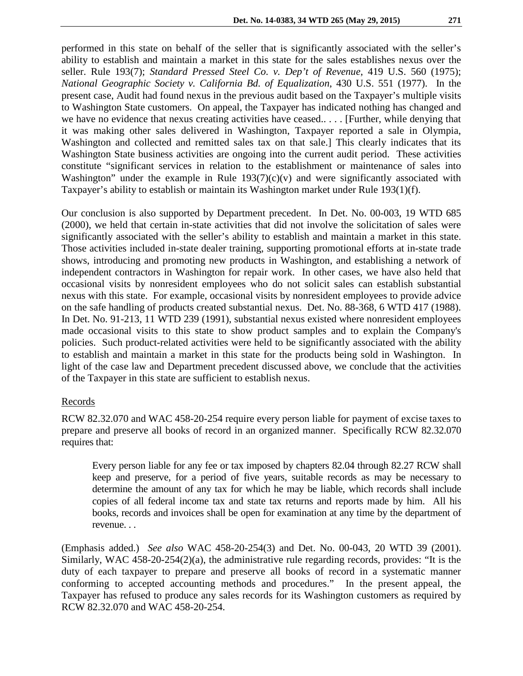performed in this state on behalf of the seller that is significantly associated with the seller's ability to establish and maintain a market in this state for the sales establishes nexus over the seller. Rule 193(7); *Standard Pressed Steel Co. v. Dep't of Revenue*, 419 U.S. 560 (1975); *National Geographic Society v. California Bd. of Equalization*, 430 U.S. 551 (1977). In the present case, Audit had found nexus in the previous audit based on the Taxpayer's multiple visits to Washington State customers. On appeal, the Taxpayer has indicated nothing has changed and we have no evidence that nexus creating activities have ceased.. . . . [Further, while denying that it was making other sales delivered in Washington, Taxpayer reported a sale in Olympia, Washington and collected and remitted sales tax on that sale.] This clearly indicates that its Washington State business activities are ongoing into the current audit period. These activities constitute "significant services in relation to the establishment or maintenance of sales into Washington" under the example in Rule  $193(7)(c)(v)$  and were significantly associated with Taxpayer's ability to establish or maintain its Washington market under Rule 193(1)(f).

Our conclusion is also supported by Department precedent. In Det. No. 00-003, 19 WTD 685 (2000), we held that certain in-state activities that did not involve the solicitation of sales were significantly associated with the seller's ability to establish and maintain a market in this state. Those activities included in-state dealer training, supporting promotional efforts at in-state trade shows, introducing and promoting new products in Washington, and establishing a network of independent contractors in Washington for repair work. In other cases, we have also held that occasional visits by nonresident employees who do not solicit sales can establish substantial nexus with this state. For example, occasional visits by nonresident employees to provide advice on the safe handling of products created substantial nexus. Det. No. 88-368, 6 WTD 417 (1988). In Det. No. 91-213, 11 WTD 239 (1991), substantial nexus existed where nonresident employees made occasional visits to this state to show product samples and to explain the Company's policies. Such product-related activities were held to be significantly associated with the ability to establish and maintain a market in this state for the products being sold in Washington. In light of the case law and Department precedent discussed above, we conclude that the activities of the Taxpayer in this state are sufficient to establish nexus.

# Records

RCW 82.32.070 and WAC 458-20-254 require every person liable for payment of excise taxes to prepare and preserve all books of record in an organized manner. Specifically RCW 82.32.070 requires that:

Every person liable for any fee or tax imposed by chapters 82.04 through 82.27 RCW shall keep and preserve, for a period of five years, suitable records as may be necessary to determine the amount of any tax for which he may be liable, which records shall include copies of all federal income tax and state tax returns and reports made by him. All his books, records and invoices shall be open for examination at any time by the department of revenue. . .

(Emphasis added.) *See also* WAC 458-20-254(3) and Det. No. 00-043, 20 WTD 39 (2001). Similarly, WAC 458-20-254(2)(a), the administrative rule regarding records, provides: "It is the duty of each taxpayer to prepare and preserve all books of record in a systematic manner conforming to accepted accounting methods and procedures." In the present appeal, the Taxpayer has refused to produce any sales records for its Washington customers as required by RCW 82.32.070 and WAC 458-20-254.